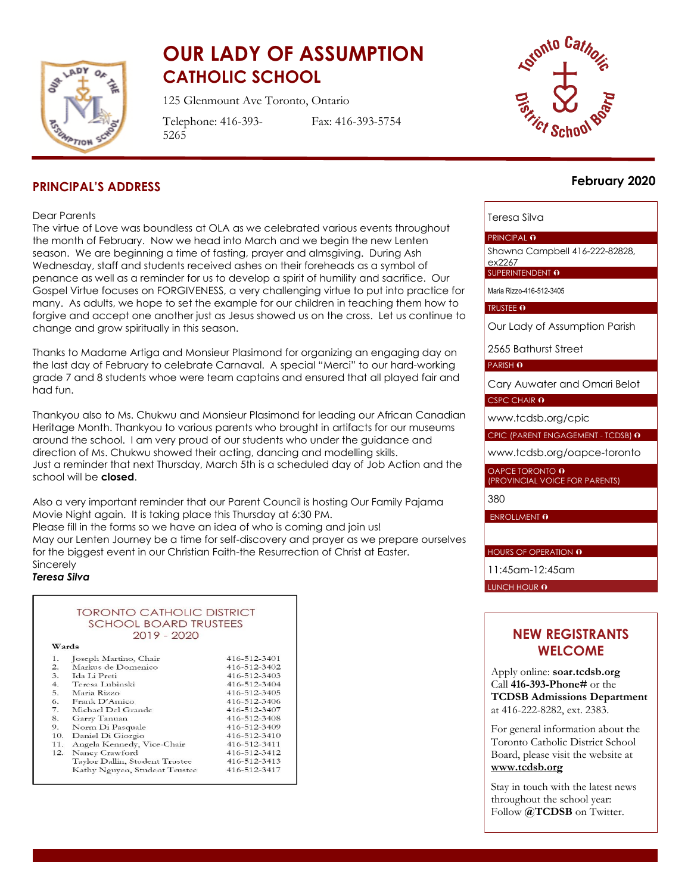

# **OUR LADY OF ASSUMPTION CATHOLIC SCHOOL**

125 Glenmount Ave Toronto, Ontario

Telephone: 416-393- 5265

Fax: 416-393-5754



#### **February 2020**

#### **PRINCIPAL'S ADDRESS**

#### Dear Parents

The virtue of Love was boundless at OLA as we celebrated various events throughout the month of February. Now we head into March and we begin the new Lenten season. We are beginning a time of fasting, prayer and almsgiving. During Ash Wednesday, staff and students received ashes on their foreheads as a symbol of penance as well as a reminder for us to develop a spirit of humility and sacrifice. Our Gospel Virtue focuses on FORGIVENESS, a very challenging virtue to put into practice for many. As adults, we hope to set the example for our children in teaching them how to forgive and accept one another just as Jesus showed us on the cross. Let us continue to change and grow spiritually in this season.

Thanks to Madame Artiga and Monsieur Plasimond for organizing an engaging day on the last day of February to celebrate Carnaval. A special "Merci" to our hard-working grade 7 and 8 students whoe were team captains and ensured that all played fair and had fun.

Thankyou also to Ms. Chukwu and Monsieur Plasimond for leading our African Canadian Heritage Month. Thankyou to various parents who brought in artifacts for our museums around the school. I am very proud of our students who under the guidance and direction of Ms. Chukwu showed their acting, dancing and modelling skills. Just a reminder that next Thursday, March 5th is a scheduled day of Job Action and the school will be **closed**.

Also a very important reminder that our Parent Council is hosting Our Family Pajama Movie Night again. It is taking place this Thursday at 6:30 PM. Please fill in the forms so we have an idea of who is coming and join us! May our Lenten Journey be a time for self-discovery and prayer as we prepare ourselves for the biggest event in our Christian Faith-the Resurrection of Christ at Easter. Sincerely *Teresa Silva*

#### **TORONTO CATHOLIC DISTRICT SCHOOL BOARD TRUSTEES** 2019 - 2020

#### Wards

| Joseph Martino, Chair          | 416-512-3401 |
|--------------------------------|--------------|
| Markus de Domenico             | 416-512-3402 |
| Ida Li Preti                   | 416-512-3403 |
| Teresa Lubinski                | 416-512-3404 |
| Maria Rizzo                    | 416-512-3405 |
| Frank D'Amico                  | 416-512-3406 |
| Michael Del Grande             | 416-512-3407 |
| Garry Tanuan                   | 416-512-3408 |
| Norm Di Pasquale               | 416-512-3409 |
| Daniel Di Giorgio              | 416-512-3410 |
| Angela Kennedy, Vice-Chair     | 416-512-3411 |
| Nancy Crawford                 | 416-512-3412 |
| Taylor Dallin, Student Trustee | 416-512-3413 |
| Kathy Nguyen, Student Trustee  | 416-512-3417 |
|                                |              |

#### Teresa Silva

#### PRINCIPAL O

Shawna Campbell 416-222-82828, ex2267

SUPERINTENDENT O

Maria Rizzo-416-512-3405

#### TRUSTEE O

Our Lady of Assumption Parish

2565 Bathurst Street

PARISH O

Cary Auwater and Omari Belot

CSPC CHAIR **0** 

[www.tcdsb.org/cpic](http://www.tcdsb.org/cpic)

CPIC (PARENT ENGAGEMENT - TCDSB) 0

[www.tcdsb.org/oapce-toronto](http://www.tcdsb.org/oapce-toronto)

OAPCE TORONTO **0** (PROVINCIAL VOICE FOR PARENTS)

380

ENROLLMENT O

HOURS OF OPERATION **O** 

11:45am-12:45am

LUNCH HOUR 0

#### **NEW REGISTRANTS WELCOME**

Apply online: **soar.tcdsb.org** Call **416-393-Phone#** or the **TCDSB Admissions Department** at 416-222-8282, ext. 2383.

For general information about the Toronto Catholic District School Board, please visit the website at **[www.tcdsb.org](http://www.tcdsb.org/)**

Stay in touch with the latest news throughout the school year: Follow **@TCDSB** on Twitter.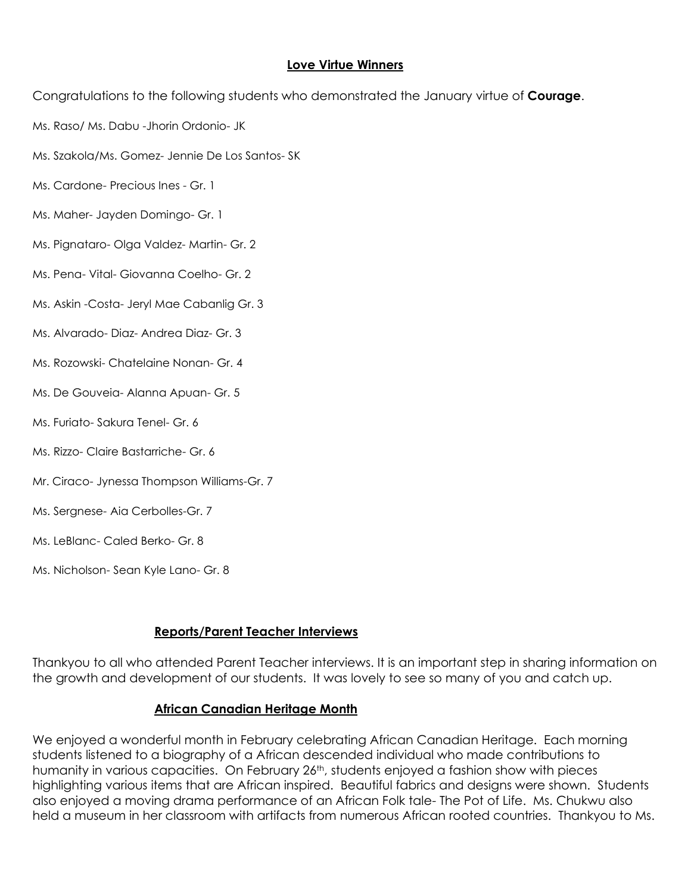### **Love Virtue Winners**

- Congratulations to the following students who demonstrated the January virtue of **Courage**.
- Ms. Raso/ Ms. Dabu -Jhorin Ordonio- JK
- Ms. Szakola/Ms. Gomez- Jennie De Los Santos- SK
- Ms. Cardone- Precious Ines Gr. 1
- Ms. Maher- Jayden Domingo- Gr. 1
- Ms. Pignataro- Olga Valdez- Martin- Gr. 2
- Ms. Pena- Vital- Giovanna Coelho- Gr. 2
- Ms. Askin -Costa- Jeryl Mae Cabanlig Gr. 3
- Ms. Alvarado- Diaz- Andrea Diaz- Gr. 3
- Ms. Rozowski- Chatelaine Nonan- Gr. 4
- Ms. De Gouveia- Alanna Apuan- Gr. 5
- Ms. Furiato- Sakura Tenel- Gr. 6
- Ms. Rizzo- Claire Bastarriche- Gr. 6
- Mr. Ciraco- Jynessa Thompson Williams-Gr. 7
- Ms. Sergnese- Aia Cerbolles-Gr. 7
- Ms. LeBlanc- Caled Berko- Gr. 8
- Ms. Nicholson- Sean Kyle Lano- Gr. 8

### **Reports/Parent Teacher Interviews**

Thankyou to all who attended Parent Teacher interviews. It is an important step in sharing information on the growth and development of our students. It was lovely to see so many of you and catch up.

### **African Canadian Heritage Month**

We enjoyed a wonderful month in February celebrating African Canadian Heritage. Each morning students listened to a biography of a African descended individual who made contributions to humanity in various capacities. On February 26<sup>th</sup>, students enjoyed a fashion show with pieces highlighting various items that are African inspired. Beautiful fabrics and designs were shown. Students also enjoyed a moving drama performance of an African Folk tale- The Pot of Life. Ms. Chukwu also held a museum in her classroom with artifacts from numerous African rooted countries. Thankyou to Ms.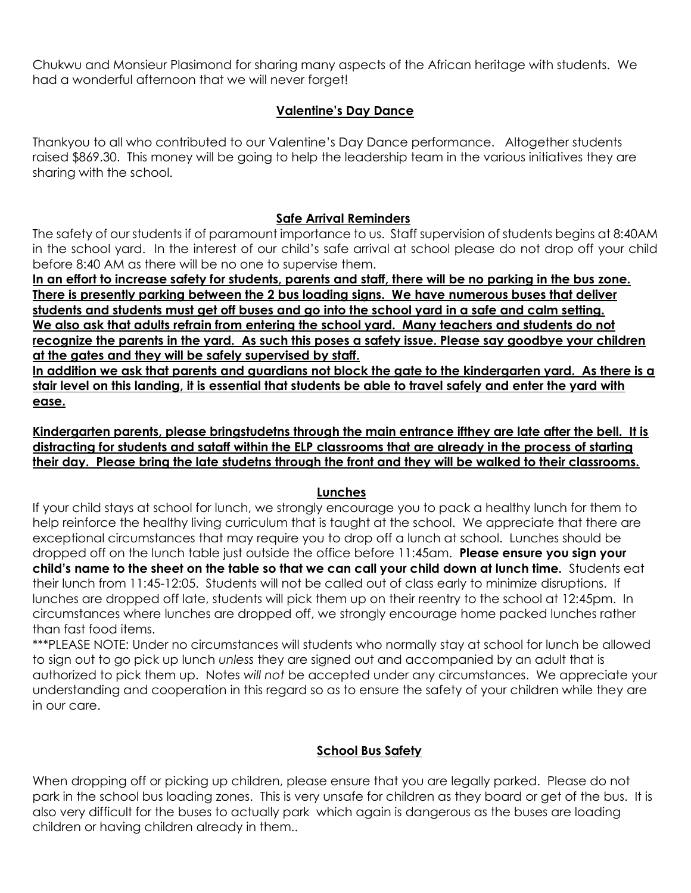Chukwu and Monsieur Plasimond for sharing many aspects of the African heritage with students. We had a wonderful afternoon that we will never forget!

### **Valentine's Day Dance**

Thankyou to all who contributed to our Valentine's Day Dance performance. Altogether students raised \$869.30. This money will be going to help the leadership team in the various initiatives they are sharing with the school.

### **Safe Arrival Reminders**

The safety of our students if of paramount importance to us. Staff supervision of students begins at 8:40AM in the school yard. In the interest of our child's safe arrival at school please do not drop off your child before 8:40 AM as there will be no one to supervise them.

**In an effort to increase safety for students, parents and staff, there will be no parking in the bus zone. There is presently parking between the 2 bus loading signs. We have numerous buses that deliver students and students must get off buses and go into the school yard in a safe and calm setting. We also ask that adults refrain from entering the school yard. Many teachers and students do not recognize the parents in the yard. As such this poses a safety issue. Please say goodbye your children at the gates and they will be safely supervised by staff.** 

**In addition we ask that parents and guardians not block the gate to the kindergarten yard. As there is a stair level on this landing, it is essential that students be able to travel safely and enter the yard with ease.** 

**Kindergarten parents, please bringstudetns through the main entrance ifthey are late after the bell. It is distracting for students and sataff within the ELP classrooms that are already in the process of starting their day. Please bring the late studetns through the front and they will be walked to their classrooms.** 

### **Lunches**

If your child stays at school for lunch, we strongly encourage you to pack a healthy lunch for them to help reinforce the healthy living curriculum that is taught at the school. We appreciate that there are exceptional circumstances that may require you to drop off a lunch at school. Lunches should be dropped off on the lunch table just outside the office before 11:45am. **Please ensure you sign your child's name to the sheet on the table so that we can call your child down at lunch time.** Students eat their lunch from 11:45-12:05. Students will not be called out of class early to minimize disruptions. If lunches are dropped off late, students will pick them up on their reentry to the school at 12:45pm. In circumstances where lunches are dropped off, we strongly encourage home packed lunches rather than fast food items.

\*\*\*PLEASE NOTE: Under no circumstances will students who normally stay at school for lunch be allowed to sign out to go pick up lunch *unless* they are signed out and accompanied by an adult that is authorized to pick them up. Notes *will not* be accepted under any circumstances. We appreciate your understanding and cooperation in this regard so as to ensure the safety of your children while they are in our care.

### **School Bus Safety**

When dropping off or picking up children, please ensure that you are legally parked. Please do not park in the school bus loading zones. This is very unsafe for children as they board or get of the bus. It is also very difficult for the buses to actually park which again is dangerous as the buses are loading children or having children already in them..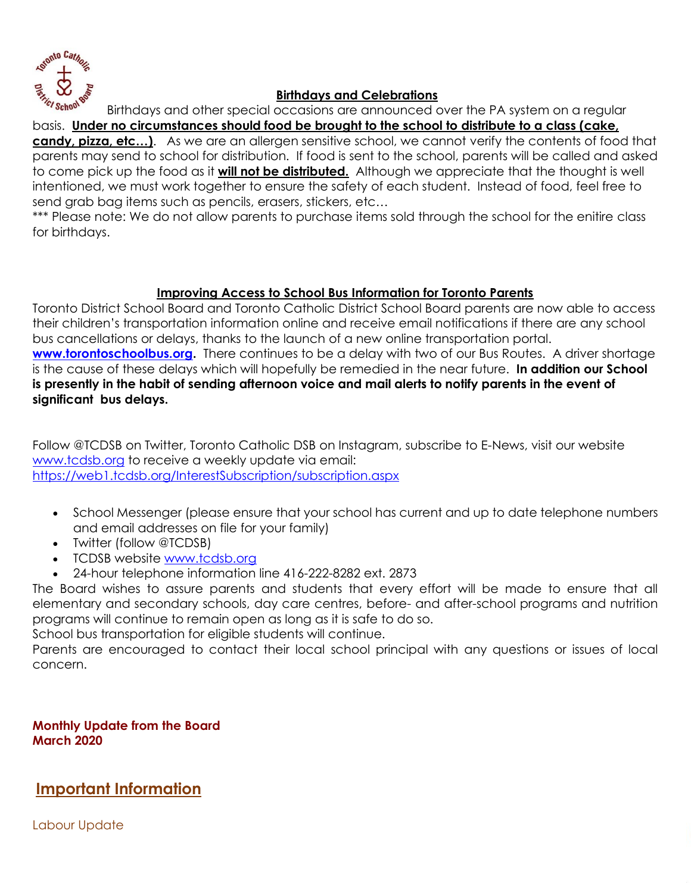

### **Birthdays and Celebrations**

Birthdays and other special occasions are announced over the PA system on a regular basis. **Under no circumstances should food be brought to the school to distribute to a class (cake, candy, pizza, etc…)**. As we are an allergen sensitive school, we cannot verify the contents of food that parents may send to school for distribution. If food is sent to the school, parents will be called and asked to come pick up the food as it **will not be distributed.** Although we appreciate that the thought is well intentioned, we must work together to ensure the safety of each student. Instead of food, feel free to send grab bag items such as pencils, erasers, stickers, etc…

\*\*\* Please note: We do not allow parents to purchase items sold through the school for the enitire class for birthdays.

### **Improving Access to School Bus Information for Toronto Parents**

Toronto District School Board and Toronto Catholic District School Board parents are now able to access their children's transportation information online and receive email notifications if there are any school bus cancellations or delays, thanks to the launch of a new online transportation portal. **[www.torontoschoolbus.org.](http://www.torontoschoolbus.org/)** There continues to be a delay with two of our Bus Routes. A driver shortage is the cause of these delays which will hopefully be remedied in the near future. **In addition our School is presently in the habit of sending afternoon voice and mail alerts to notify parents in the event of significant bus delays.** 

Follow @TCDSB on Twitter, Toronto Catholic DSB on Instagram, subscribe to E-News, visit our website [www.tcdsb.org](http://www.tcdsb.org/) to receive a weekly update via email: <https://web1.tcdsb.org/InterestSubscription/subscription.aspx>

- School Messenger (please ensure that your school has current and up to date telephone numbers and email addresses on file for your family)
- Twitter (follow @TCDSB)
- TCDSB website [www.tcdsb.org](http://www.tcdsb.org/)
- 24-hour telephone information line 416-222-8282 ext. 2873

The Board wishes to assure parents and students that every effort will be made to ensure that all elementary and secondary schools, day care centres, before- and after-school programs and nutrition programs will continue to remain open as long as it is safe to do so.

School bus transportation for eligible students will continue.

Parents are encouraged to contact their local school principal with any questions or issues of local concern.

**Monthly Update from the Board March 2020**

## **Important Information**

Labour Update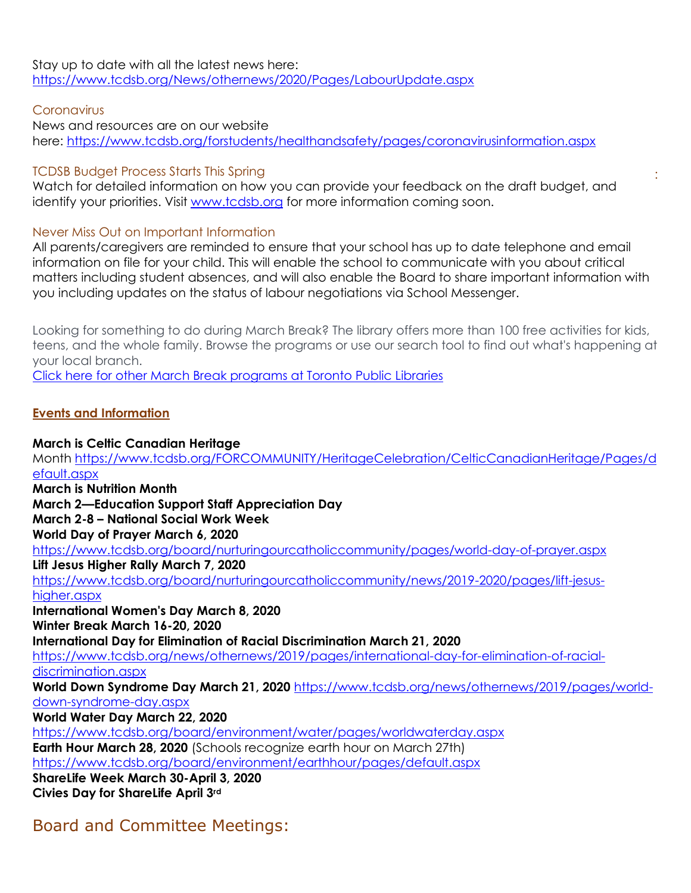Stay up to date with all the latest news here: <https://www.tcdsb.org/News/othernews/2020/Pages/LabourUpdate.aspx>

### **Coronavirus**

News and resources are on our website here: <https://www.tcdsb.org/forstudents/healthandsafety/pages/coronavirusinformation.aspx>

#### TCDSB Budget Process Starts This Spring

Watch for detailed information on how you can provide your feedback on the draft budget, and identify your priorities. Visit [www.tcdsb.org](http://www.tcdsb.org/) for more information coming soon.

### Never Miss Out on Important Information

All parents/caregivers are reminded to ensure that your school has up to date telephone and email information on file for your child. This will enable the school to communicate with you about critical matters including student absences, and will also enable the Board to share important information with you including updates on the status of labour negotiations via School Messenger.

:

Looking for something to do during March Break? The library offers more than 100 free activities for kids, teens, and the whole family. Browse the programs or use our search tool to find out what's happening at your local branch.

[Click here for other March Break programs at Toronto Public Libraries](https://t.e2ma.net/click/l98f5b/l1yq8og/dzr13q)

### **Events and Information**

### **March is Celtic Canadian Heritage** Month [https://www.tcdsb.org/FORCOMMUNITY/HeritageCelebration/CelticCanadianHeritage/Pages/d](https://www.tcdsb.org/FORCOMMUNITY/HeritageCelebration/CelticCanadianHeritage/Pages/default.aspx) [efault.aspx](https://www.tcdsb.org/FORCOMMUNITY/HeritageCelebration/CelticCanadianHeritage/Pages/default.aspx) **March is Nutrition Month March 2—Education Support Staff Appreciation Day March 2-8 – National Social Work Week World Day of Prayer March 6, 2020** <https://www.tcdsb.org/board/nurturingourcatholiccommunity/pages/world-day-of-prayer.aspx> **Lift Jesus Higher Rally March 7, 2020** [https://www.tcdsb.org/board/nurturingourcatholiccommunity/news/2019-2020/pages/lift-jesus](https://www.tcdsb.org/board/nurturingourcatholiccommunity/news/2019-2020/pages/lift-jesus-higher.aspx)[higher.aspx](https://www.tcdsb.org/board/nurturingourcatholiccommunity/news/2019-2020/pages/lift-jesus-higher.aspx) **International Women's Day March 8, 2020 Winter Break March 16-20, 2020 International Day for Elimination of Racial Discrimination March 21, 2020** [https://www.tcdsb.org/news/othernews/2019/pages/international-day-for-elimination-of-racial](https://www.tcdsb.org/news/othernews/2019/pages/international-day-for-elimination-of-racial-discrimination.aspx)[discrimination.aspx](https://www.tcdsb.org/news/othernews/2019/pages/international-day-for-elimination-of-racial-discrimination.aspx) **World Down Syndrome Day March 21, 2020** [https://www.tcdsb.org/news/othernews/2019/pages/world](https://www.tcdsb.org/news/othernews/2019/pages/world-down-syndrome-day.aspx)[down-syndrome-day.aspx](https://www.tcdsb.org/news/othernews/2019/pages/world-down-syndrome-day.aspx) **World Water Day March 22, 2020** <https://www.tcdsb.org/board/environment/water/pages/worldwaterday.aspx> **Earth Hour March 28, 2020** (Schools recognize earth hour on March 27th) <https://www.tcdsb.org/board/environment/earthhour/pages/default.aspx> **ShareLife Week March 30-April 3, 2020 Civies Day for ShareLife April 3rd** Board and Committee Meetings: